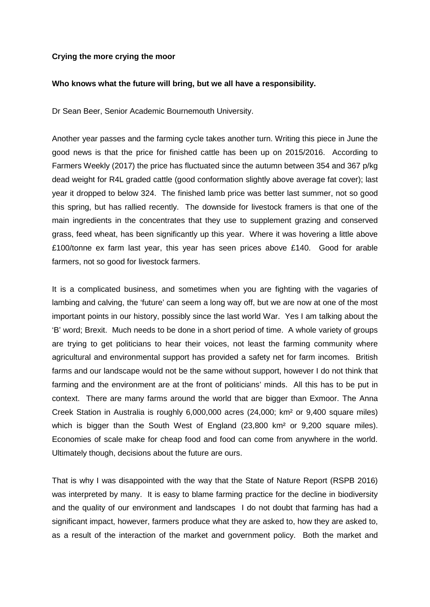## **Crying the more crying the moor**

## **Who knows what the future will bring, but we all have a responsibility.**

Dr Sean Beer, Senior Academic Bournemouth University.

Another year passes and the farming cycle takes another turn. Writing this piece in June the good news is that the price for finished cattle has been up on 2015/2016. According to Farmers Weekly (2017) the price has fluctuated since the autumn between 354 and 367 p/kg dead weight for R4L graded cattle (good conformation slightly above average fat cover); last year it dropped to below 324. The finished lamb price was better last summer, not so good this spring, but has rallied recently. The downside for livestock framers is that one of the main ingredients in the concentrates that they use to supplement grazing and conserved grass, feed wheat, has been significantly up this year. Where it was hovering a little above £100/tonne ex farm last year, this year has seen prices above £140. Good for arable farmers, not so good for livestock farmers.

It is a complicated business, and sometimes when you are fighting with the vagaries of lambing and calving, the 'future' can seem a long way off, but we are now at one of the most important points in our history, possibly since the last world War. Yes I am talking about the 'B' word; Brexit. Much needs to be done in a short period of time. A whole variety of groups are trying to get politicians to hear their voices, not least the farming community where agricultural and environmental support has provided a safety net for farm incomes. British farms and our landscape would not be the same without support, however I do not think that farming and the environment are at the front of politicians' minds. All this has to be put in context. There are many farms around the world that are bigger than Exmoor. The Anna Creek Station in Australia is roughly 6,000,000 acres (24,000; km² or 9,400 square miles) which is bigger than the South West of England (23,800 km<sup>2</sup> or 9,200 square miles). Economies of scale make for cheap food and food can come from anywhere in the world. Ultimately though, decisions about the future are ours.

That is why I was disappointed with the way that the State of Nature Report (RSPB 2016) was interpreted by many. It is easy to blame farming practice for the decline in biodiversity and the quality of our environment and landscapes I do not doubt that farming has had a significant impact, however, farmers produce what they are asked to, how they are asked to, as a result of the interaction of the market and government policy. Both the market and